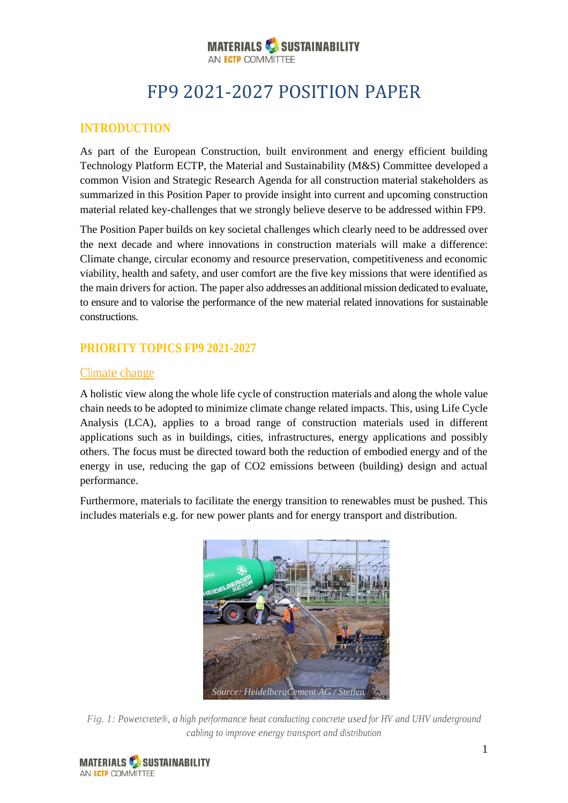#### **MATERIALS & SUSTAINABILITY** AN ECTP COMMITTEE

# FP9 2021-2027 POSITION PAPER

# **INTRODUCTION**

As part of the European Construction, built environment and energy efficient building Technology Platform ECTP, the Material and Sustainability (M&S) Committee developed a common Vision and Strategic Research Agenda for all construction material stakeholders as summarized in this Position Paper to provide insight into current and upcoming construction material related key-challenges that we strongly believe deserve to be addressed within FP9.

The Position Paper builds on key societal challenges which clearly need to be addressed over the next decade and where innovations in construction materials will make a difference: Climate change, circular economy and resource preservation, competitiveness and economic viability, health and safety, and user comfort are the five key missions that were identified as the main drivers for action. The paper also addresses an additional mission dedicated to evaluate, to ensure and to valorise the performance of the new material related innovations for sustainable constructions.

# **PRIORITY TOPICS FP9 2021-2027**

# Climate change

A holistic view along the whole life cycle of construction materials and along the whole value chain needs to be adopted to minimize climate change related impacts. This, using Life Cycle Analysis (LCA), applies to a broad range of construction materials used in different applications such as in buildings, cities, infrastructures, energy applications and possibly others. The focus must be directed toward both the reduction of embodied energy and of the energy in use, reducing the gap of CO2 emissions between (building) design and actual performance.

Furthermore, materials to facilitate the energy transition to renewables must be pushed. This includes materials e.g. for new power plants and for energy transport and distribution.



*Fig. 1: Powercrete®, a high performance heat conducting concrete used for HV and UHV underground cabling to improve energy transport and distribution*

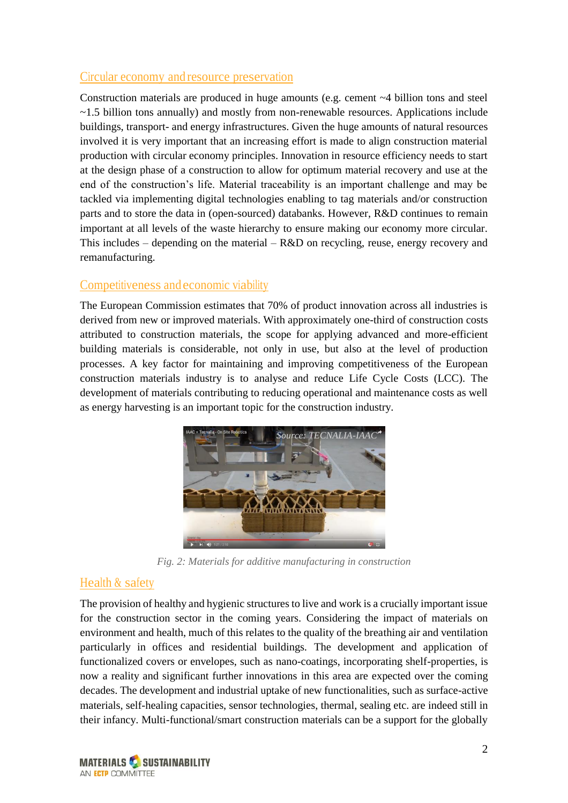#### Circular economy andresource preservation

Construction materials are produced in huge amounts (e.g. cement ~4 billion tons and steel  $\sim$ 1.5 billion tons annually) and mostly from non-renewable resources. Applications include buildings, transport- and energy infrastructures. Given the huge amounts of natural resources involved it is very important that an increasing effort is made to align construction material production with circular economy principles. Innovation in resource efficiency needs to start at the design phase of a construction to allow for optimum material recovery and use at the end of the construction's life. Material traceability is an important challenge and may be tackled via implementing digital technologies enabling to tag materials and/or construction parts and to store the data in (open-sourced) databanks. However, R&D continues to remain important at all levels of the waste hierarchy to ensure making our economy more circular. This includes – depending on the material – R&D on recycling, reuse, energy recovery and remanufacturing.

#### Competitiveness andeconomic viability

The European Commission estimates that 70% of product innovation across all industries is derived from new or improved materials. With approximately one-third of construction costs attributed to construction materials, the scope for applying advanced and more-efficient building materials is considerable, not only in use, but also at the level of production processes. A key factor for maintaining and improving competitiveness of the European construction materials industry is to analyse and reduce Life Cycle Costs (LCC). The development of materials contributing to reducing operational and maintenance costs as well as energy harvesting is an important topic for the construction industry.



*Fig. 2: Materials for additive manufacturing in construction*

# Health & safety

The provision of healthy and hygienic structures to live and work is a crucially important issue for the construction sector in the coming years. Considering the impact of materials on environment and health, much of this relates to the quality of the breathing air and ventilation particularly in offices and residential buildings. The development and application of functionalized covers or envelopes, such as nano-coatings, incorporating shelf-properties, is now a reality and significant further innovations in this area are expected over the coming decades. The development and industrial uptake of new functionalities, such as surface-active materials, self-healing capacities, sensor technologies, thermal, sealing etc. are indeed still in their infancy. Multi-functional/smart construction materials can be a support for the globally